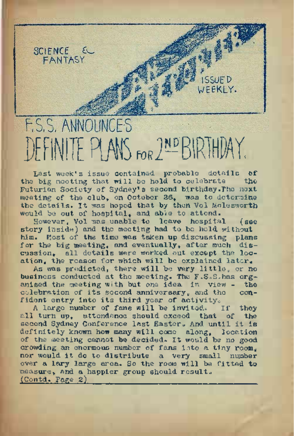# E.S.S. ANNOUNCES<br>DEFINITE PLANS FOR 2ND BIRTHDAY.

JFEKIY.

SCIENCE EL FANTASY

Last week's issue contained, probable details of the big meeting that will be held to celebrate the Futurian Society of Sydney'<sup>s</sup> second birthday.The next meeting of the club, on October 26, was to determine the details. It was hoped that by then Vol Molesworth would be out of hospital, and able to attend.

However, Vol was unable to leave hospital (see story inside) and the meeting had to be held without him. Most of the time was taken up discussing plans for the big meeting, and eventually, after much discussion, all details were worked out except the location, the reason for which will be explained later.

As was predicted, there will be very little, or no business conducted at the meeting. The  $F.S.S.h$ as organised the meeting with but one idea in view - the concelebration of its second anniversary, and the fident entry into its third year of activity.<br>A large number of fans will be invited. If they

A large number of fans will be invited. all turn up, attendance should exceed that of the second Sydney Conference last Easter. And until it is definitely known how many will come along, location of the meeting cannot be decided. It would be no good crowding an enormous number of fans into a tiny room. nor would it do to distribute a very small number over a lary large area. So the room will be fitted to measure, and a happier group should result.  $($ Contd. Page  $2)$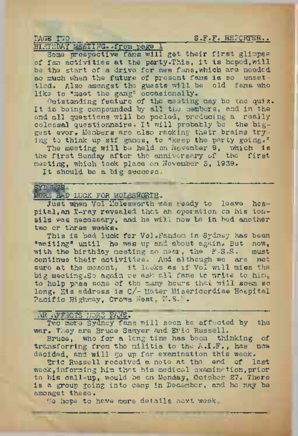PAGE TUO LA PARTICIPATION DE S.F.F. REPORTER..

# BIRTHDAY <sup>M</sup>EETING, .from page 1

Some prospective fans will get their first glimpse of fam activities at the party.This, it is hoped.,will be the start of a drive for new fans,which are needed, so much when the future of present fans is so unsettled, Also amongst the guests will be old fans who like to "meet the gang" occasionally.

Outstanding feature of the meeting may be the quiz. It is being compounded by all the members, and in the end all questions will be pooled, producing a really colossal questionnaire, It will probably be the biggest ever. Members are also racking their brains try- ing to think up stf games, to "keep the party going."

The meeting will be held on November 9, which is the first Sunday after the anniversary of the first meeting, which took place on November 5, 1939,

It should be a big success.

# $ST$  WS  $^{\circ}$ MORE BAD LUCK FOR MOLESVORTH.

Just when Vol Molesworth was ready to leave hospital, an X-ray revealed that an operation on his tonsils was necessary, and he will now be in bed another two or three weeks»

This is bad luck for Vol. Fandom in Sydney has been "waiting" until he was up and about again. But now, with the birthday meeting so near, the F.S.S. must continue their activities. And although we are not sure at the moment, it looks as if Vol will miss the big meeting. So again we ask all fans to write to him, to help pass some of the many hours that will seem so long. His address is c/- Mater Misericordiae Hospital Pacific Highway, Crows Nest, N.S.'.

# AR AFFECTS MORE FANS.

Two more Sydney fans will soon be affected by the war. They are Bruce Sawyer and Eric Russell.

Bruce, who for a long time has been thinking of transferring from the militia to the A.I.F., has now decided, and will go up for examination this week.

Eric Russell received a note at the end of last week,informing him that his medical examination,prior to his call-up, would be on Monday, October 27. There is a group going into camp in December, and he may be amongst these.

We hope to have more details next week.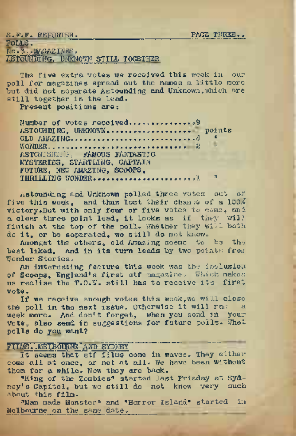PAGE THREE..

S.F.F. REFORTER. POLLS. No.3.WGAZENES, ASTOUNDING, UNKNOWN STILL TOGETHER

The five extra votes we received this week in our poll for magazines spread out the names a little more but did not separate Astounding and Unknown, which are still together in the lead.

Present positions are:

Number of votes received.........................9 ASTOUNDING, UNKNOW................................... points WONDER. OLD AMAZING............ ................ <sup>4</sup> « 2 " ASTCNISHIHG FAMOUS FANTASTIC MYSTERIES, STARTLING, CAPTAIN FUTURE, NEW AMAZING, SCOOPS, THRILLING WONDER........................-.............. . <sup>m</sup> .1 "

Astounding and Unknown polled three votes out of five this week, and thus lost their chanse of a 100% victory.But with only four or five votes to come, and <sup>a</sup> clear three point lead, it looks as if they will finish at the top of the poll. Whether they will both do it, or be soperated, we still do not know.

Amongst the others, old Amazing seems to be the best liked, and in its turn leads by two points from Wonder Stories.

An interesting feature this week was the inclusion of Scoops, England\*s first stf magazine. Which makes us realise the T.O.W. still has to receive its first vote.

If we receive enough votes this week,we will close the poll in the next issue. Otherwise it will run <sup>a</sup> week more. And don't forget, when you send in your vote, also send in suggestions for future polls. What polls do you want?

FIIMS..MELBOURNE AND SYDNEY ' "" """.<br>It seems that stf films come in waves. They either come all at once, or not at all. We have been without them for a while. Now they are back.

"King of the Zombies" started last Frisday at Sydney'<sup>s</sup> Capitol, but we still do not know very much about this film.

"Man made Monster" and "Horror Island" started in Melbourne on the same date.,